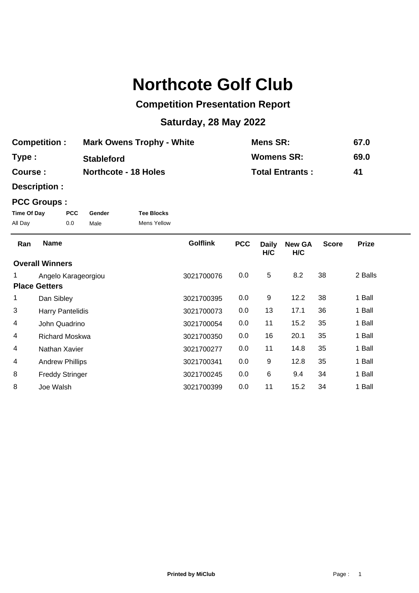## **Northcote Golf Club**

## **Competition Presentation Report**

## **Saturday, 28 May 2022**

| <b>Competition:</b> | <b>Mark Owens Trophy - White</b> | Mens SR:               | 67.0 |
|---------------------|----------------------------------|------------------------|------|
| Type:               | <b>Stableford</b>                | <b>Womens SR:</b>      | 69.0 |
| Course :            | <b>Northcote - 18 Holes</b>      | <b>Total Entrants:</b> | 41   |

**Description :**

## **PCC Groups :**

| Time Of Day | <b>PCC</b> | Gender | <b>Tee Blocks</b> |
|-------------|------------|--------|-------------------|
| All Day     | 0.0        | Male   | Mens Yellow       |

| Ran                  | <b>Name</b>             | <b>Golflink</b> | <b>PCC</b> | <b>Daily</b><br>H/C | <b>New GA</b><br>H/C | <b>Score</b> | <b>Prize</b> |
|----------------------|-------------------------|-----------------|------------|---------------------|----------------------|--------------|--------------|
|                      | <b>Overall Winners</b>  |                 |            |                     |                      |              |              |
|                      | Angelo Karageorgiou     | 3021700076      | 0.0        | 5                   | 8.2                  | 38           | 2 Balls      |
| <b>Place Getters</b> |                         |                 |            |                     |                      |              |              |
|                      | Dan Sibley              | 3021700395      | 0.0        | 9                   | 12.2                 | 38           | 1 Ball       |
| 3                    | <b>Harry Pantelidis</b> | 3021700073      | 0.0        | 13                  | 17.1                 | 36           | 1 Ball       |
| 4                    | John Quadrino           | 3021700054      | 0.0        | 11                  | 15.2                 | 35           | 1 Ball       |
| 4                    | <b>Richard Moskwa</b>   | 3021700350      | 0.0        | 16                  | 20.1                 | 35           | 1 Ball       |
| 4                    | Nathan Xavier           | 3021700277      | 0.0        | 11                  | 14.8                 | 35           | 1 Ball       |
| 4                    | <b>Andrew Phillips</b>  | 3021700341      | 0.0        | 9                   | 12.8                 | 35           | 1 Ball       |
| 8                    | <b>Freddy Stringer</b>  | 3021700245      | 0.0        | 6                   | 9.4                  | 34           | 1 Ball       |
| 8                    | Joe Walsh               | 3021700399      | 0.0        | 11                  | 15.2                 | 34           | 1 Ball       |